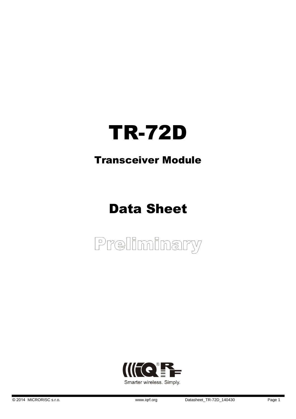# TR-72D

### Transceiver Module

# Data Sheet



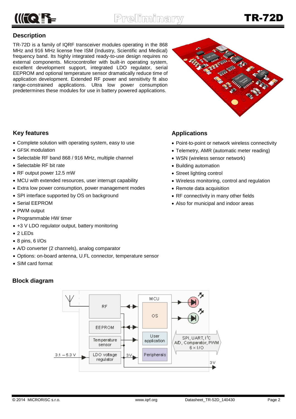

#### **Description**

TR-72D is a family of IQRF transceiver modules operating in the 868 MHz and 916 MHz license free ISM (Industry, Scientific and Medical) frequency band. Its highly integrated ready-to-use design requires no external components. Microcontroller with built-in operating system, excellent development support, integrated LDO regulator, serial EEPROM and optional temperature sensor dramatically reduce time of application development. Extended RF power and sensitivity fit also range-constrained applications. Ultra low power consumption predetermines these modules for use in battery powered applications.



#### **Key features**

- Complete solution with operating system, easy to use
- GFSK modulation
- Selectable RF band 868 / 916 MHz, multiple channel
- Selectable RF bit rate
- RF output power 12.5 mW
- MCU with extended resources, user interrupt capability
- Extra low power consumption, power management modes
- SPI interface supported by OS on background
- Serial EEPROM
- PWM output
- Programmable HW timer
- +3 V LDO regulator output, battery monitoring
- 2 LEDs
- 8 pins, 6 I/Os
- A/D converter (2 channels), analog comparator
- Options: on-board antenna, U.FL connector, temperature sensor
- SIM card format

#### **Block diagram**



#### **Applications**

- Point-to-point or network wireless connectivity
- Telemetry, AMR (automatic meter reading)
- WSN (wireless sensor network)
- Building automation
- Street lighting control
- Wireless monitoring, control and regulation
- Remote data acquisition
- RF connectivity in many other fields
- Also for municipal and indoor areas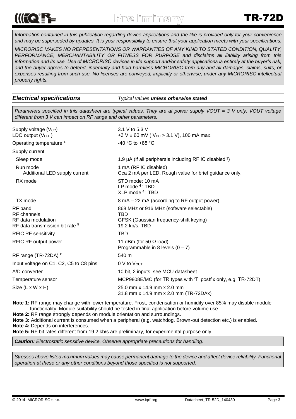# $\mathsf{C} \cap \mathsf{C} \subseteq \mathsf{C}$

*Information contained in this publication regarding device applications and the like is provided only for your convenience and may be superseded by updates. It is your responsibility to ensure that your application meets with your specifications.*

*MICRORISC MAKES NO REPRESENTATIONS OR WARRANTIES OF ANY KIND TO STATED CONDITION, QUALITY, PERFORMANCE, MERCHANTABILITY OR FITNESS FOR PURPOSE and disclaims all liability arising from this information and its use. Use of MICRORISC devices in life support and/or safety applications is entirely at the buyer's risk, and the buyer agrees to defend, indemnify and hold harmless MICRORISC from any and all damages, claims, suits, or expenses resulting from such use. No licenses are conveyed, implicitly or otherwise, under any MICRORISC intellectual property rights.*

*Electrical specifications Typical values unless otherwise stated*

*Parameters specified in this datasheet are typical values. They are at power supply VOUT = 3 V only. VOUT voltage different from 3 V can impact on RF range and other parameters.*

| Supply voltage (Vcc)<br>LDO output $(VOUT)$                                                | 3.1 V to 5.3 V<br>+3 V $\pm$ 60 mV ( V <sub>CC</sub> $>$ 3.1 V), 100 mA max.                                |  |  |  |
|--------------------------------------------------------------------------------------------|-------------------------------------------------------------------------------------------------------------|--|--|--|
| Operating temperature <sup>1</sup>                                                         | -40 °C to +85 °C                                                                                            |  |  |  |
| Supply current                                                                             |                                                                                                             |  |  |  |
| Sleep mode                                                                                 | 1.9 µA (if all peripherals including RF IC disabled 3)                                                      |  |  |  |
| Run mode<br>Additional LED supply current                                                  | 1 mA (RF IC disabled)<br>Cca 2 mA per LED. Rough value for brief guidance only.                             |  |  |  |
| RX mode                                                                                    | STD mode: 10 mA<br>LP mode $4:$ TBD<br>XLP mode <sup>4</sup> : TBD                                          |  |  |  |
| TX mode                                                                                    | 8 mA – 22 mA (according to RF output power)                                                                 |  |  |  |
| RF band<br>RF channels<br>RF data modulation<br>RF data transmission bit rate <sup>5</sup> | 868 MHz or 916 MHz (software selectable)<br>TBD<br>GFSK (Gaussian frequency-shift keying)<br>19.2 kb/s, TBD |  |  |  |
| <b>RFIC RF sensitivity</b>                                                                 | <b>TBD</b>                                                                                                  |  |  |  |
| RFIC RF output power                                                                       | 11 dBm (for 50 $\Omega$ load)<br>Programmable in 8 levels $(0 - 7)$                                         |  |  |  |
| RF range (TR-72DA) <sup>2</sup>                                                            | 540 m                                                                                                       |  |  |  |
| Input voltage on C1, C2, C5 to C8 pins                                                     | 0 V to Vout                                                                                                 |  |  |  |
| A/D converter                                                                              | 10 bit, 2 inputs, see MCU datasheet                                                                         |  |  |  |
| Temperature sensor                                                                         | MCP9808E/MC (for TR types with 'T' postfix only, e.g. TR-72DT)                                              |  |  |  |
| Size (L x W x H)                                                                           | 25.0 mm x 14.9 mm x 2.0 mm<br>31.8 mm x 14.9 mm x 2.0 mm (TR-72DAx)                                         |  |  |  |

**Note 1:** RF range may change with lower temperature. Frost, condensation or humidity over 85% may disable module functionality. Module suitability should be tested in final application before volume use.

**Note 2:** RF range strongly depends on module orientation and surroundings.

**Note 3:** Additional current is consumed when a peripheral (e.g. watchdog, Brown-out detection etc.) is enabled.

**Note 4:** Depends on interferences.

**Note 5:** RF bit rates different from 19.2 kb/s are preliminary, for experimental purpose only.

*Caution: Electrostatic sensitive device. Observe appropriate precautions for handling.*

*Stresses above listed maximum values may cause permanent damage to the device and affect device reliability. Functional operation at these or any other conditions beyond those specified is not supported.*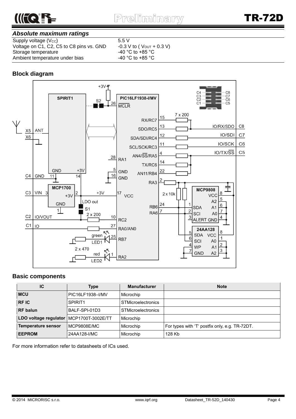

#### *Absolute maximum ratings*

Supply voltage (Vcc)  $5.5 \text{ V}$ <br>Voltage on C1, C2, C5 to C8 pins vs. GND  $-0.3 \text{ V}$  to (Vout + 0.3 V) Voltage on C1, C2, C5 to C8 pins vs. GND  $-0.3$  V to ( Vout + Storage temperature  $-40$  °C to +85 °C Storage temperature<br>Ambient temperature under bias<br>-40 °C to +85 °C Ambient temperature under bias

#### **Block diagram**



#### **Basic components**

| IC                        | Type                | <b>Manufacturer</b>       | <b>Note</b>                                    |  |
|---------------------------|---------------------|---------------------------|------------------------------------------------|--|
| <b>MCU</b>                | PIC16LF1938-I/MV    | Microchip                 |                                                |  |
| <b>RFIC</b>               | SPIRIT <sub>1</sub> | <b>STMicroelectronics</b> |                                                |  |
| <b>RF</b> balun           | BALF-SPI-01D3       | <b>STMicroelectronics</b> |                                                |  |
| LDO voltage regulator     | MCP1700T-3002E/TT   | Microchip                 |                                                |  |
| <b>Temperature sensor</b> | <b>MCP9808E/MC</b>  | Microchip                 | For types with 'T' postfix only, e.g. TR-72DT. |  |
| <b>EEPROM</b>             | 24AA128-I/MC        | Microchip                 | 128 Kb                                         |  |

For more information refer to datasheets of ICs used.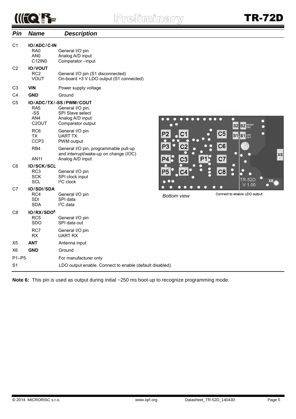## $\mathbb{R}$

| Pin            | <b>Name</b>                                                                         | <b>Description</b>                                                                                                                           |                                  |
|----------------|-------------------------------------------------------------------------------------|----------------------------------------------------------------------------------------------------------------------------------------------|----------------------------------|
| C <sub>1</sub> | IO/ADC/C-IN<br>RA0<br>AN <sub>0</sub><br>C12IN0                                     | General I/O pin<br>Analog A/D input<br>Comparator-input                                                                                      |                                  |
| C <sub>2</sub> | <b>IO/VOUT</b><br>RC2<br><b>VOUT</b>                                                | General I/O pin (S1 disconnected)<br>On-board +3 V LDO output (S1 connected)                                                                 |                                  |
| C <sub>3</sub> | <b>VIN</b>                                                                          | Power supply voltage                                                                                                                         |                                  |
| C <sub>4</sub> | <b>GND</b>                                                                          | Ground                                                                                                                                       |                                  |
| C <sub>5</sub> | RA <sub>5</sub><br>-SS<br>AN4<br>C <sub>2</sub> OUT<br>RC <sub>6</sub><br><b>TX</b> | IO/ADC/TX/-SS/PWM/COUT<br>General I/O pin,<br>SPI Slave select<br>Analog A/D input<br>Comparator output<br>General I/O pin<br><b>UART TX</b> |                                  |
|                | CCP <sub>3</sub><br>RB4<br><b>AN11</b>                                              | PWM output<br>General I/O pin, programmable pull-up<br>and interrupt/wake-up on change (IOC)<br>Analog A/D input                             | P <sub>3</sub><br>P <sub>4</sub> |
| C <sub>6</sub> | <b>IO/SCK/SCL</b><br>RC <sub>3</sub><br><b>SCK</b><br>SCL                           | General I/O pin<br>SPI clock input<br>$I2C$ clock                                                                                            | P <sub>5</sub>                   |
| C7             | <b>IO/SDI/SDA</b><br>RC4<br><b>SDI</b><br>SDA                                       | General I/O pin<br>SPI data<br>$I2C$ data                                                                                                    | Bott                             |
| C <sub>8</sub> | IO/RX/SDO <sup>6</sup><br>RC <sub>5</sub><br><b>SDO</b>                             | General I/O pin<br>SPI data out                                                                                                              |                                  |
|                | RC7<br><b>RX</b>                                                                    | General I/O pin<br><b>UART RX</b>                                                                                                            |                                  |
| X5             | <b>ANT</b>                                                                          | Antenna input                                                                                                                                |                                  |
| X <sub>6</sub> | <b>GND</b>                                                                          | Ground                                                                                                                                       |                                  |
| $P1-P5$        |                                                                                     | For manufacturer only                                                                                                                        |                                  |
| S <sub>1</sub> |                                                                                     | LDO output enable. Connect to enable (default disabled).                                                                                     |                                  |



*Bottom view*

Connect to enable LDO output

to recognize programming mode.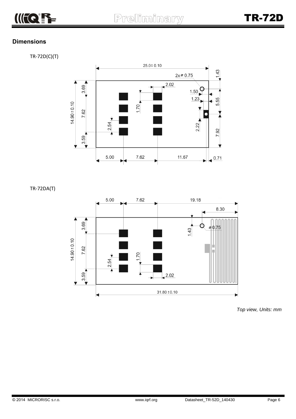

#### **Dimensions**

TR-72D(C)(T)



TR-72DA(T)



*Top view, Units: mm*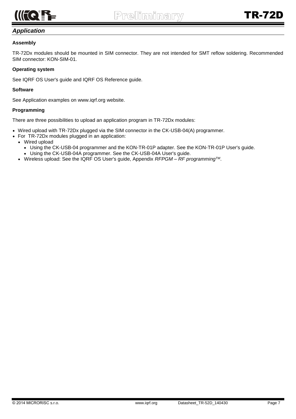

#### *Application*

#### **Assembly**

TR-72Dx modules should be mounted in SIM connector. They are not intended for SMT reflow soldering. Recommended SIM connector: KON-SIM-01.

#### **Operating system**

See IQRF OS User's guide and IQRF OS Reference guide.

#### **Software**

See Application examples on www.iqrf.org website.

#### **Programming**

There are three possibilities to upload an application program in TR-72Dx modules:

- Wired upload with TR-72Dx plugged via the SIM connector in the CK-USB-04(A) programmer.
- For TR-72Dx modules plugged in an application:
	- Wired upload
		- Using the CK-USB-04 programmer and the KON-TR-01P adapter. See the KON-TR-01P User's guide.
		- Using the CK-USB-04A programmer. See the CK-USB-04A User's guide.
	- Wireless upload: See the IQRF OS User's guide, Appendix *RFPGM – RF programmingTM*.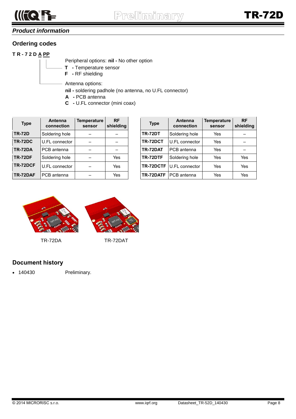

### *Product information*

#### **Ordering codes**

#### **T R - 7 2 D A PP**

Peripheral options: **nil -** No other option

- **T -** Temperature sensor
- **F -** RF shielding

Antenna options:

- **nil -** soldering padhole (no antenna, no U.FL connector)
- **A -** PCB antenna
- **C -** U.FL connector (mini coax)

| <b>Type</b>    | Antenna<br>connection | Temperature<br>sensor | <b>RF</b><br>shielding | <b>Type</b>    | Antenna<br>connection | <b>Temperature</b><br>sensor | <b>RF</b><br>shield |
|----------------|-----------------------|-----------------------|------------------------|----------------|-----------------------|------------------------------|---------------------|
| <b>TR-72D</b>  | Soldering hole        |                       |                        | <b>TR-72DT</b> | Soldering hole        | Yes                          |                     |
| <b>TR-72DC</b> | U.FL connector        |                       |                        | TR-72DCT       | U.FL connector        | Yes                          |                     |
| <b>TR-72DA</b> | PCB antenna           |                       |                        | TR-72DAT       | PCB antenna           | Yes                          |                     |
| <b>TR-72DF</b> | Soldering hole        |                       | Yes                    | TR-72DTF       | Soldering hole        | Yes                          | Yes                 |
| TR-72DCF       | U.FL connector        |                       | Yes                    | TR-72DCTF      | U.FL connector        | Yes                          | Yes                 |
| TR-72DAF       | PCB antenna           |                       | Yes                    | TR-72DATF      | PCB antenna           | Yes                          | Yes                 |

| <b>RF</b><br>shielding | <b>Type</b>    | <b>Antenna</b><br>connection    | <b>Temperature</b><br>sensor | <b>RF</b><br>shielding |
|------------------------|----------------|---------------------------------|------------------------------|------------------------|
|                        | <b>TR-72DT</b> | Soldering hole                  | Yes                          |                        |
|                        | TR-72DCT       | U.FL connector                  | Yes                          |                        |
|                        | TR-72DAT       | PCB antenna                     | Yes                          |                        |
| Yes                    | TR-72DTF       | Soldering hole                  | Yes                          | Yes                    |
| Yes                    |                | <b>TR-72DCTF</b> U.FL connector | Yes                          | Yes                    |
| Yes                    | TR-72DATF      | PCB antenna                     | Yes                          | Yes                    |



TR-72DA TR-72DAT

#### **Document history**

140430 Preliminary.